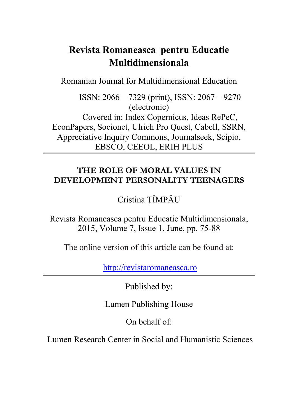# **Revista Romaneasca pentru Educatie Multidimensionala**

Romanian Journal for Multidimensional Education

ISSN: 2066 – 7329 (print), ISSN: 2067 – 9270 (electronic) Covered in: Index Copernicus, Ideas RePeC, EconPapers, Socionet, Ulrich Pro Quest, Cabell, SSRN, Appreciative Inquiry Commons, Journalseek, Scipio, EBSCO, CEEOL, ERIH PLUS

# **THE ROLE OF MORAL VALUES IN DEVELOPMENT PERSONALITY TEENAGERS**

Cristina ŢÎMPĂU

Revista Romaneasca pentru Educatie Multidimensionala, 2015, Volume 7, Issue 1, June, pp. 75-88

The online version of this article can be found at:

[http://revistaromaneasca.ro](http://revistaromaneasca.ro/)

Published by:

Lumen Publishing House

On behalf of:

Lumen Research Center in Social and Humanistic Sciences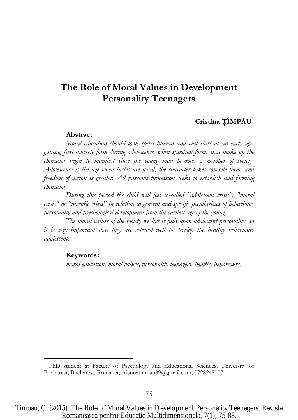# **The Role of Moral Values in Development Personality Teenagers**

# **Cristina ŢÎMPĂU**<sup>1</sup>

#### **Abstract**

*Moral education should look spirit human and will start at an early age, gaining first concrete form during adolescence, when spiritual forms that make up the character begin to manifest since the young man becomes a member of society. Adolescence is the age when tastes are fixed, the character takes concrete form, and freedom of action is greater. All passions procession seeks to establish and forming character.*

*During this period the child will feel so-called "adolescent crisis", "moral crisis" or "juvenile crisis" in relation to general and specific peculiarities of behaviour, personality and psychological development from the earliest age of the young.*

*The moral values of the society we live it falls upon adolescent personality, so it is very important that they are selected well to develop the healthy behaviours adolescent.*

#### **Keywords:**

 $\overline{a}$ 

*moral education, moral values, personality teenagers, healthy behaviours.*

<sup>1</sup> PhD student at Faculty of Psychology and Educational Sciences, University of Bucharest, Bucharest, Romania, cristinatimpau89@gmail.com, 0728248007.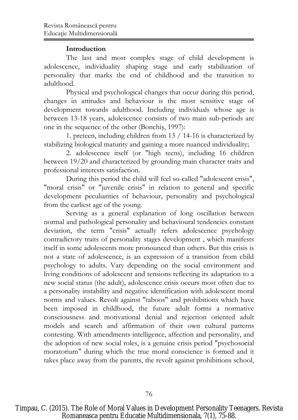### **Introduction**

The last and most complex stage of child development is adolescence, individuality shaping stage and early stabilization of personality that marks the end of childhood and the transition to adulthood.

Physical and psychological changes that occur during this period, changes in attitudes and behaviour is the most sensitive stage of development towards adulthood. Including individuals whose age is between 13-18 years, adolescence consists of two main sub-periods are one in the sequence of the other (Bonchiş, 1997):

1. preteen, including children from 13 / 14-16 is characterized by stabilizing biological maturity and gaining a more nuanced individuality;

2. adolescence itself (or "high teens), including 16 children between 19/20 and characterized by grounding main character traits and professional interests satisfaction.

During this period the child will feel so-called "adolescent crisis", "moral crisis" or "juvenile crisis" in relation to general and specific development peculiarities of behaviour, personality and psychological from the earliest age of the young.

Serving as a general explanation of long oscillation between normal and pathological personality and behavioural tendencies constant deviation, the term "crisis" actually refers adolescence psychology contradictory traits of personality stages development , which manifests itself in some adolescents more pronounced than others. But this crisis is not a state of adolescence, is an expression of a transition from child psychology to adults. Vary depending on the social environment and living conditions of adolescent and tensions reflecting its adaptation to a new social status (the adult), adolescence crisis occurs most often due to a personality instability and negative identification with adolescent moral norms and values. Revolt against "taboos" and prohibitions which have been imposed in childhood, the future adult forms a normative consciousness and motivational denial and rejection oriented adult models and search and affirmation of their own cultural patterns contesting. With amendments intelligence, affection and personality, and the adoption of new social roles, is a genuine crisis period "psychosocial moratorium" during which the true moral conscience is formed and it takes place away from the parents, the revolt against prohibitions school,

Timpau, C. (2015). The Role of Moral Values in Development Personality Teenagers. Revista Romaneasca pentru Educatie Multidimensionala, 7(1), 75-88.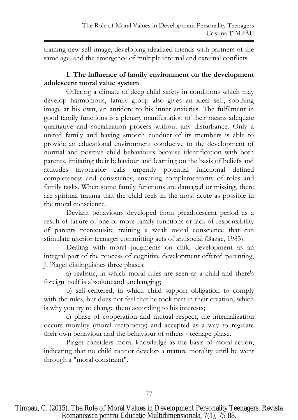training new self-image, developing idealized friends with partners of the same age, and the emergence of multiple internal and external conflicts.

# **1. The influence of family environment on the development adolescent moral value system**

Offering a climate of deep child safety in conditions which may develop harmonious, family group also gives an ideal self, soothing image at his own, an antidote to his inner anxieties. The fulfilment in good family functions is a plenary manifestation of their means adequate qualitative and socialization process without any disturbance. Only a united family and having smooth conduct of its members is able to provide an educational environment conducive to the development of normal and positive child behaviours because identification with both parents, imitating their behaviour and learning on the basis of beliefs and attitudes favourable calls urgently potential functional defined completeness and consistency, ensuring complementarity of roles and family tasks. When some family functions are damaged or missing, there are spiritual trauma that the child feels in the most acute as possible in the moral conscience.

Deviant behaviours developed from preadolescent period as a result of failure of one or more family functions or lack of responsibility of parents prerequisite training a weak moral conscience that can stimulate ulterior teenager committing acts of antisocial (Bazac, 1983).

Dealing with moral judgments on child development as an integral part of the process of cognitive development offered parenting, J. Piaget distinguishes three phases:

a) realistic, in which moral rules are seen as a child and there's foreign itself is absolute and unchanging;

b) self-centered, in which child support obligation to comply with the rules, but does not feel that he took part in their creation, which is why you try to change them according to his interests;

c) phase of cooperation and mutual respect, the internalization occurs morality (moral reciprocity) and accepted as a way to regulate their own behaviour and the behaviour of others - teenage phase.

Piaget considers moral knowledge as the basis of moral action, indicating that no child cannot develop a mature morality until he went through a "moral constraint".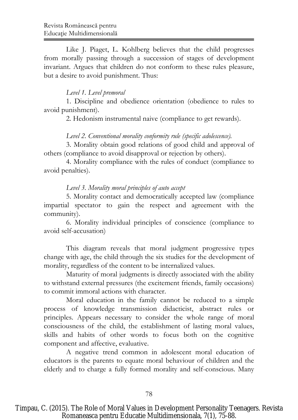Like J. Piaget, L. Kohlberg believes that the child progresses from morally passing through a succession of stages of development invariant. Argues that children do not conform to these rules pleasure, but a desire to avoid punishment. Thus:

# *Level 1. Level premoral*

1. Discipline and obedience orientation (obedience to rules to avoid punishment).

2. Hedonism instrumental naive (compliance to get rewards).

## *Level 2. Conventional morality conformity rule (specific adolescence).*

3. Morality obtain good relations of good child and approval of others (compliance to avoid disapproval or rejection by others).

4. Morality compliance with the rules of conduct (compliance to avoid penalties).

## *Level 3. Morality moral principles of auto accept*

5. Morality contact and democratically accepted law (compliance impartial spectator to gain the respect and agreement with the community).

6. Morality individual principles of conscience (compliance to avoid self-accusation)

This diagram reveals that moral judgment progressive types change with age, the child through the six studies for the development of morality, regardless of the content to be internalized values.

Maturity of moral judgments is directly associated with the ability to withstand external pressures (the excitement friends, family occasions) to commit immoral actions with character.

Moral education in the family cannot be reduced to a simple process of knowledge transmission didacticist, abstract rules or principles. Appears necessary to consider the whole range of moral consciousness of the child, the establishment of lasting moral values, skills and habits of other words to focus both on the cognitive component and affective, evaluative.

A negative trend common in adolescent moral education of educators is the parents to equate moral behaviour of children and the elderly and to charge a fully formed morality and self-conscious. Many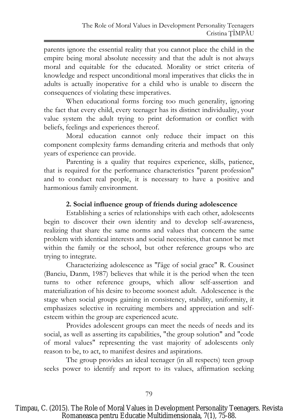parents ignore the essential reality that you cannot place the child in the empire being moral absolute necessity and that the adult is not always moral and equitable for the educated. Morality or strict criteria of knowledge and respect unconditional moral imperatives that clicks the in adults is actually inoperative for a child who is unable to discern the consequences of violating these imperatives.

When educational forms forcing too much generality, ignoring the fact that every child, every teenager has its distinct individuality, your value system the adult trying to print deformation or conflict with beliefs, feelings and experiences thereof.

Moral education cannot only reduce their impact on this component complexity farms demanding criteria and methods that only years of experience can provide.

Parenting is a quality that requires experience, skills, patience, that is required for the performance characteristics "parent profession" and to conduct real people, it is necessary to have a positive and harmonious family environment.

# **2. Social influence group of friends during adolescence**

Establishing a series of relationships with each other, adolescents begin to discover their own identity and to develop self-awareness, realizing that share the same norms and values that concern the same problem with identical interests and social necessities, that cannot be met within the family or the school, but other reference groups who are trying to integrate.

Characterizing adolescence as "l'âge of social grace" R. Cousinet (Banciu, Danm, 1987) believes that while it is the period when the teen turns to other reference groups, which allow self-assertion and materialization of his desire to become soonest adult. Adolescence is the stage when social groups gaining in consistency, stability, uniformity, it emphasizes selective in recruiting members and appreciation and selfesteem within the group are experienced acute.

Provides adolescent groups can meet the needs of needs and its social, as well as asserting its capabilities, "the group solution" and "code of moral values" representing the vast majority of adolescents only reason to be, to act, to manifest desires and aspirations.

The group provides an ideal teenager (in all respects) teen group seeks power to identify and report to its values, affirmation seeking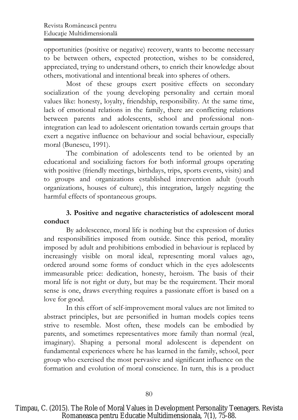opportunities (positive or negative) recovery, wants to become necessary to be between others, expected protection, wishes to be considered, appreciated, trying to understand others, to enrich their knowledge about others, motivational and intentional break into spheres of others.

Most of these groups exert positive effects on secondary socialization of the young developing personality and certain moral values like: honesty, loyalty, friendship, responsibility. At the same time, lack of emotional relations in the family, there are conflicting relations between parents and adolescents, school and professional nonintegration can lead to adolescent orientation towards certain groups that exert a negative influence on behaviour and social behaviour, especially moral (Bunescu, 1991).

The combination of adolescents tend to be oriented by an educational and socializing factors for both informal groups operating with positive (friendly meetings, birthdays, trips, sports events, visits) and to groups and organizations established intervention adult (youth organizations, houses of culture), this integration, largely negating the harmful effects of spontaneous groups.

# **3. Positive and negative characteristics of adolescent moral conduct**

By adolescence, moral life is nothing but the expression of duties and responsibilities imposed from outside. Since this period, morality imposed by adult and prohibitions embodied in behaviour is replaced by increasingly visible on moral ideal, representing moral values ago, ordered around some forms of conduct which in the eyes adolescents immeasurable price: dedication, honesty, heroism. The basis of their moral life is not right or duty, but may be the requirement. Their moral sense is one, draws everything requires a passionate effort is based on a love for good.

In this effort of self-improvement moral values are not limited to abstract principles, but are personified in human models copies teens strive to resemble. Most often, these models can be embodied by parents, and sometimes representatives more family than normal (real, imaginary). Shaping a personal moral adolescent is dependent on fundamental experiences where he has learned in the family, school, peer group who exercised the most pervasive and significant influence on the formation and evolution of moral conscience. In turn, this is a product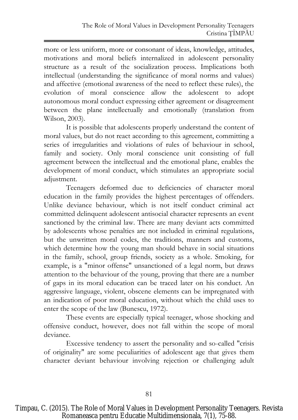more or less uniform, more or consonant of ideas, knowledge, attitudes, motivations and moral beliefs internalized in adolescent personality structure as a result of the socialization process. Implications both intellectual (understanding the significance of moral norms and values) and affective (emotional awareness of the need to reflect these rules), the evolution of moral conscience allow the adolescent to adopt autonomous moral conduct expressing either agreement or disagreement between the plane intellectually and emotionally (translation from Wilson, 2003).

It is possible that adolescents properly understand the content of moral values, but do not react according to this agreement, committing a series of irregularities and violations of rules of behaviour in school, family and society. Only moral conscience unit consisting of full agreement between the intellectual and the emotional plane, enables the development of moral conduct, which stimulates an appropriate social adjustment.

Teenagers deformed due to deficiencies of character moral education in the family provides the highest percentages of offenders. Unlike deviance behaviour, which is not itself conduct criminal act committed delinquent adolescent antisocial character represents an event sanctioned by the criminal law. There are many deviant acts committed by adolescents whose penalties are not included in criminal regulations, but the unwritten moral codes, the traditions, manners and customs, which determine how the young man should behave in social situations in the family, school, group friends, society as a whole. Smoking, for example, is a "minor offense" unsanctioned of a legal norm, but draws attention to the behaviour of the young, proving that there are a number of gaps in its moral education can be traced later on his conduct. An aggressive language, violent, obscene elements can be impregnated with an indication of poor moral education, without which the child uses to enter the scope of the law (Bunescu, 1972).

These events are especially typical teenager, whose shocking and offensive conduct, however, does not fall within the scope of moral deviance.

Excessive tendency to assert the personality and so-called "crisis of originality" are some peculiarities of adolescent age that gives them character deviant behaviour involving rejection or challenging adult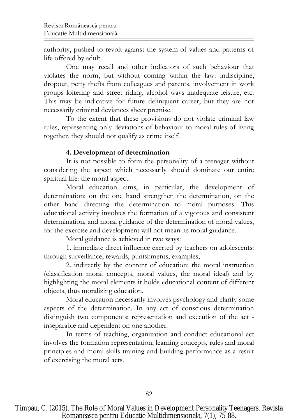authority, pushed to revolt against the system of values and patterns of life offered by adult.

One may recall and other indicators of such behaviour that violates the norm, but without coming within the law: indiscipline, dropout, petty thefts from colleagues and parents, involvement in work groups loitering and street riding, alcohol ways inadequate leisure, etc. This may be indicative for future delinquent career, but they are not necessarily criminal deviances sheer premise.

To the extent that these provisions do not violate criminal law rules, representing only deviations of behaviour to moral rules of living together, they should not qualify as crime itself.

# **4. Development of determination**

It is not possible to form the personality of a teenager without considering the aspect which necessarily should dominate our entire spiritual life: the moral aspect.

Moral education aims, in particular, the development of determination: on the one hand strengthen the determination, on the other hand directing the determination to moral purposes. This educational activity involves the formation of a vigorous and consistent determination, and moral guidance of the determination of moral values, for the exercise and development will not mean its moral guidance.

Moral guidance is achieved in two ways:

1. immediate direct influence exerted by teachers on adolescents: through surveillance, rewards, punishments, examples;

2. indirectly by the content of education: the moral instruction (classification moral concepts, moral values, the moral ideal) and by highlighting the moral elements it holds educational content of different objects, thus moralizing education.

Moral education necessarily involves psychology and clarify some aspects of the determination. In any act of conscious determination distinguish two components: representation and execution of the act inseparable and dependent on one another.

In terms of teaching, organization and conduct educational act involves the formation representation, learning concepts, rules and moral principles and moral skills training and building performance as a result of exercising the moral acts.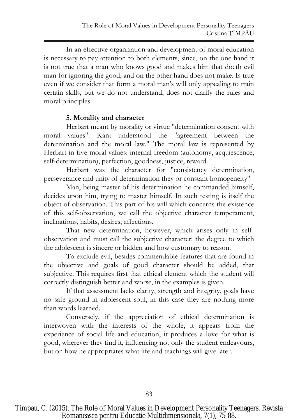In an effective organization and development of moral education is necessary to pay attention to both elements, since, on the one hand it is not true that a man who knows good and makes him that doeth evil man for ignoring the good, and on the other hand does not make. Is true even if we consider that form a moral man's will only appealing to train certain skills, but we do not understand, does not clarify the rules and moral principles.

# **5. Morality and character**

Herbart meant by morality or virtue "determination consent with moral values". Kant understood the "agreement between the determination and the moral law." The moral law is represented by Herbart in five moral values: internal freedom (autonomy, acquiescence, self-determination), perfection, goodness, justice, reward.

Herbart was the character for "consistency determination, perseverance and unity of determination they or constant homogeneity"

Man, being master of his determination he commanded himself, decides upon him, trying to master himself. In such testing is itself the object of observation. This part of his will which concerns the existence of this self-observation, we call the objective character temperament, inclinations, habits, desires, affections.

That new determination, however, which arises only in selfobservation and must call the subjective character: the degree to which the adolescent is sincere or hidden and how customary to reason.

To exclude evil, besides commendable features that are found in the objective and goals of good character should be added, that subjective. This requires first that ethical element which the student will correctly distinguish better and worse, in the examples is given.

If that assessment lacks clarity, strength and integrity, goals have no safe ground in adolescent soul, in this case they are nothing more than words learned.

Conversely, if the appreciation of ethical determination is interwoven with the interests of the whole, it appears from the experience of social life and education, it produces a love for what is good, wherever they find it, influencing not only the student endeavours, but on how he appropriates what life and teachings will give later.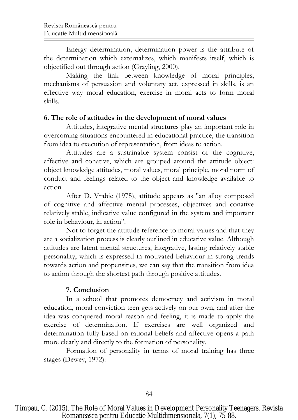Energy determination, determination power is the attribute of the determination which externalizes, which manifests itself, which is objectified out through action (Grayling, 2000).

Making the link between knowledge of moral principles, mechanisms of persuasion and voluntary act, expressed in skills, is an effective way moral education, exercise in moral acts to form moral skills.

# **6. The role of attitudes in the development of moral values**

Attitudes, integrative mental structures play an important role in overcoming situations encountered in educational practice, the transition from idea to execution of representation, from ideas to action.

Attitudes are a sustainable system consist of the cognitive, affective and conative, which are grouped around the attitude object: object knowledge attitudes, moral values, moral principle, moral norm of conduct and feelings related to the object and knowledge available to action .

After D. Vrabie (1975), attitude appears as "an alloy composed of cognitive and affective mental processes, objectives and conative relatively stable, indicative value configured in the system and important role in behaviour, in action".

Not to forget the attitude reference to moral values and that they are a socialization process is clearly outlined in educative value. Although attitudes are latent mental structures, integrative, lasting relatively stable personality, which is expressed in motivated behaviour in strong trends towards action and propensities, we can say that the transition from idea to action through the shortest path through positive attitudes.

# **7. Conclusion**

In a school that promotes democracy and activism in moral education, moral conviction teen gets actively on our own, and after the idea was conquered moral reason and feeling, it is made to apply the exercise of determination. If exercises are well organized and determination fully based on rational beliefs and affective opens a path more clearly and directly to the formation of personality.

Formation of personality in terms of moral training has three stages (Dewey, 1972):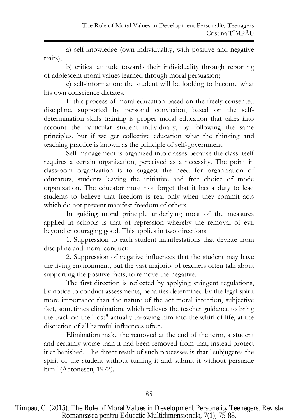a) self-knowledge (own individuality, with positive and negative traits);

b) critical attitude towards their individuality through reporting of adolescent moral values learned through moral persuasion;

c) self-information: the student will be looking to become what his own conscience dictates.

If this process of moral education based on the freely consented discipline, supported by personal conviction, based on the selfdetermination skills training is proper moral education that takes into account the particular student individually, by following the same principles, but if we get collective education what the thinking and teaching practice is known as the principle of self-government.

Self-management is organized into classes because the class itself requires a certain organization, perceived as a necessity. The point in classroom organization is to suggest the need for organization of educators, students leaving the initiative and free choice of mode organization. The educator must not forget that it has a duty to lead students to believe that freedom is real only when they commit acts which do not prevent manifest freedom of others.

In guiding moral principle underlying most of the measures applied in schools is that of repression whereby the removal of evil beyond encouraging good. This applies in two directions:

1. Suppression to each student manifestations that deviate from discipline and moral conduct;

2. Suppression of negative influences that the student may have the living environment; but the vast majority of teachers often talk about supporting the positive facts, to remove the negative.

The first direction is reflected by applying stringent regulations, by notice to conduct assessments, penalties determined by the legal spirit more importance than the nature of the act moral intention, subjective fact, sometimes elimination, which relieves the teacher guidance to bring the track on the "lost" actually throwing him into the whirl of life, at the discretion of all harmful influences often.

Elimination make the removed at the end of the term, a student and certainly worse than it had been removed from that, instead protect it at banished. The direct result of such processes is that "subjugates the spirit of the student without turning it and submit it without persuade him" (Antonescu, 1972).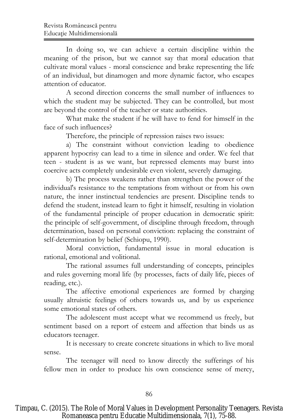In doing so, we can achieve a certain discipline within the meaning of the prison, but we cannot say that moral education that cultivate moral values - moral conscience and brake representing the life of an individual, but dinamogen and more dynamic factor, who escapes attention of educator.

A second direction concerns the small number of influences to which the student may be subjected. They can be controlled, but most are beyond the control of the teacher or state authorities.

What make the student if he will have to fend for himself in the face of such influences?

Therefore, the principle of repression raises two issues:

a) The constraint without conviction leading to obedience apparent hypocrisy can lead to a time in silence and order. We feel that teen - student is as we want, but repressed elements may burst into coercive acts completely undesirable even violent, severely damaging.

b) The process weakens rather than strengthen the power of the individual's resistance to the temptations from without or from his own nature, the inner instinctual tendencies are present. Discipline tends to defend the student, instead learn to fight it himself, resulting in violation of the fundamental principle of proper education in democratic spirit: the principle of self-government, of discipline through freedom, through determination, based on personal conviction: replacing the constraint of self-determination by belief (Schiopu, 1990).

Moral conviction, fundamental issue in moral education is rational, emotional and volitional.

The rational assumes full understanding of concepts, principles and rules governing moral life (by processes, facts of daily life, pieces of reading, etc.).

The affective emotional experiences are formed by charging usually altruistic feelings of others towards us, and by us experience some emotional states of others.

The adolescent must accept what we recommend us freely, but sentiment based on a report of esteem and affection that binds us as educators teenager.

It is necessary to create concrete situations in which to live moral sense.

The teenager will need to know directly the sufferings of his fellow men in order to produce his own conscience sense of mercy,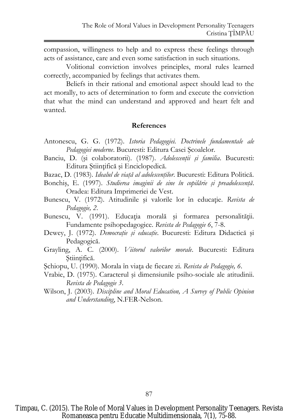compassion, willingness to help and to express these feelings through acts of assistance, care and even some satisfaction in such situations.

Volitional conviction involves principles, moral rules learned correctly, accompanied by feelings that activates them.

Beliefs in their rational and emotional aspect should lead to the act morally, to acts of determination to form and execute the conviction that what the mind can understand and approved and heart felt and wanted.

#### **References**

- Antonescu, G. G. (1972). *Istoria Pedagogiei. Doctrinele fundamentale ale Pedagogiei moderne*. Bucuresti: Editura Casei Şcoalelor.
- Banciu, D. (şi colaboratorii). (1987). *Adolescenţii şi familia*. Bucuresti: Editura Ştiinţifică şi Enciclopedică.
- Bazac, D. (1983). *Idealul de viaţă al adolescenţilor*. Bucuresti: Editura Politică.
- Bonchiş, E. (1997). *Studierea imaginii de sine în copilărie şi preadolescenţă*. Oradea: Editura Imprimeriei de Vest.
- Bunescu, V. (1972). Atitudinile și valorile lor în educație. *Revista de Pedagogie, 2*.
- Bunescu, V. (1991). Educația morală și formarea personalității. Fundamente psihopedagogice. *Revista de Pedagogie 6*, 7-8.
- Dewey, J. (1972). *Democraţie şi educaţie*. Bucuresti: Editura Didactică şi Pedagogică.
- Grayling, A. C. (2000). *Viitorul valorilor morale*. Bucuresti: Editura Ştiinţifică.
- Şchiopu, U. (1990). Morala în viaţa de fiecare zi. *Revista de Pedagogie, 6*.
- Vrabie, D. (1975). Caracterul şi dimensiunile psiho-sociale ale atitudinii. *Revista de Pedagogie 3*.
- Wilson, J. (2003). *Discipline and Moral Education, A Survey of Public Opinion and Understanding*, N.FER-Nelson.